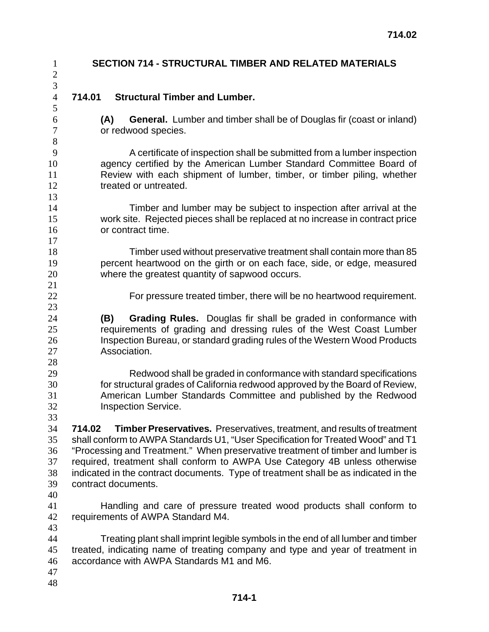| $\mathbf{1}$<br>$\sqrt{2}$             | <b>SECTION 714 - STRUCTURAL TIMBER AND RELATED MATERIALS</b>                                                                                                                                                                                                                                                                                                                                                                                                 |
|----------------------------------------|--------------------------------------------------------------------------------------------------------------------------------------------------------------------------------------------------------------------------------------------------------------------------------------------------------------------------------------------------------------------------------------------------------------------------------------------------------------|
| $\overline{3}$<br>$\overline{4}$       | <b>Structural Timber and Lumber.</b><br>714.01                                                                                                                                                                                                                                                                                                                                                                                                               |
| 5<br>6<br>$\boldsymbol{7}$<br>8        | <b>General.</b> Lumber and timber shall be of Douglas fir (coast or inland)<br>(A)<br>or redwood species.                                                                                                                                                                                                                                                                                                                                                    |
| 9<br>10<br>11<br>12<br>13              | A certificate of inspection shall be submitted from a lumber inspection<br>agency certified by the American Lumber Standard Committee Board of<br>Review with each shipment of lumber, timber, or timber piling, whether<br>treated or untreated.                                                                                                                                                                                                            |
| 14<br>15<br>16<br>17                   | Timber and lumber may be subject to inspection after arrival at the<br>work site. Rejected pieces shall be replaced at no increase in contract price<br>or contract time.                                                                                                                                                                                                                                                                                    |
| 18<br>19<br>20<br>21                   | Timber used without preservative treatment shall contain more than 85<br>percent heartwood on the girth or on each face, side, or edge, measured<br>where the greatest quantity of sapwood occurs.                                                                                                                                                                                                                                                           |
| 22<br>23                               | For pressure treated timber, there will be no heartwood requirement.                                                                                                                                                                                                                                                                                                                                                                                         |
| 24<br>25<br>26<br>27<br>28             | Grading Rules. Douglas fir shall be graded in conformance with<br>(B)<br>requirements of grading and dressing rules of the West Coast Lumber<br>Inspection Bureau, or standard grading rules of the Western Wood Products<br>Association.                                                                                                                                                                                                                    |
| 29<br>30<br>31<br>32<br>33             | Redwood shall be graded in conformance with standard specifications<br>for structural grades of California redwood approved by the Board of Review,<br>American Lumber Standards Committee and published by the Redwood<br><b>Inspection Service.</b>                                                                                                                                                                                                        |
| 34<br>35<br>36<br>37<br>38<br>39<br>40 | <b>Timber Preservatives.</b> Preservatives, treatment, and results of treatment<br>714.02<br>shall conform to AWPA Standards U1, "User Specification for Treated Wood" and T1<br>"Processing and Treatment." When preservative treatment of timber and lumber is<br>required, treatment shall conform to AWPA Use Category 4B unless otherwise<br>indicated in the contract documents. Type of treatment shall be as indicated in the<br>contract documents. |
| 41<br>42<br>43                         | Handling and care of pressure treated wood products shall conform to<br>requirements of AWPA Standard M4.                                                                                                                                                                                                                                                                                                                                                    |
| 44<br>45<br>46<br>47<br>48             | Treating plant shall imprint legible symbols in the end of all lumber and timber<br>treated, indicating name of treating company and type and year of treatment in<br>accordance with AWPA Standards M1 and M6.                                                                                                                                                                                                                                              |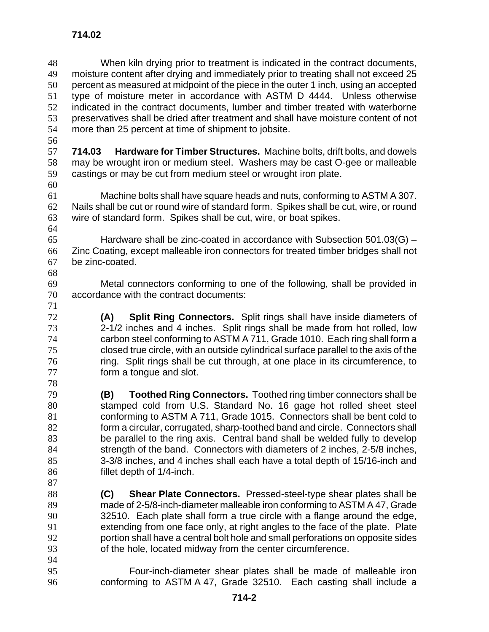When kiln drying prior to treatment is indicated in the contract documents, moisture content after drying and immediately prior to treating shall not exceed 25 percent as measured at midpoint of the piece in the outer 1 inch, using an accepted type of moisture meter in accordance with ASTM D 4444. Unless otherwise indicated in the contract documents, lumber and timber treated with waterborne preservatives shall be dried after treatment and shall have moisture content of not more than 25 percent at time of shipment to jobsite.

**714.03 Hardware for Timber Structures.** Machine bolts, drift bolts, and dowels may be wrought iron or medium steel. Washers may be cast O-gee or malleable castings or may be cut from medium steel or wrought iron plate.

**714.02** 

Machine bolts shall have square heads and nuts, conforming to ASTM A 307. Nails shall be cut or round wire of standard form. Spikes shall be cut, wire, or round wire of standard form. Spikes shall be cut, wire, or boat spikes. 

65 Hardware shall be zinc-coated in accordance with Subsection  $501.03(G)$  – Zinc Coating, except malleable iron connectors for treated timber bridges shall not be zinc-coated. 

Metal connectors conforming to one of the following, shall be provided in accordance with the contract documents:

**(A) Split Ring Connectors.** Split rings shall have inside diameters of 2-1/2 inches and 4 inches. Split rings shall be made from hot rolled, low carbon steel conforming to ASTM A 711, Grade 1010. Each ring shall form a closed true circle, with an outside cylindrical surface parallel to the axis of the ring. Split rings shall be cut through, at one place in its circumference, to form a tongue and slot.

- **(B) Toothed Ring Connectors.** Toothed ring timber connectors shall be stamped cold from U.S. Standard No. 16 gage hot rolled sheet steel conforming to ASTM A 711, Grade 1015. Connectors shall be bent cold to form a circular, corrugated, sharp-toothed band and circle. Connectors shall be parallel to the ring axis. Central band shall be welded fully to develop strength of the band. Connectors with diameters of 2 inches, 2-5/8 inches, 3-3/8 inches, and 4 inches shall each have a total depth of 15/16-inch and fillet depth of 1/4-inch.
- **(C) Shear Plate Connectors.** Pressed-steel-type shear plates shall be made of 2-5/8-inch-diameter malleable iron conforming to ASTM A 47, Grade 32510. Each plate shall form a true circle with a flange around the edge, extending from one face only, at right angles to the face of the plate. Plate portion shall have a central bolt hole and small perforations on opposite sides of the hole, located midway from the center circumference.
- 

Four-inch-diameter shear plates shall be made of malleable iron conforming to ASTM A 47, Grade 32510. Each casting shall include a